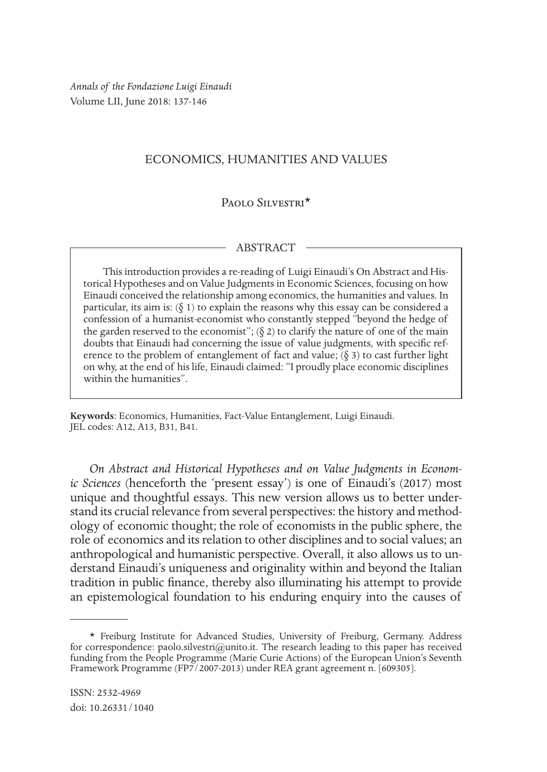*Annals of the Fondazione Luigi Einaudi* Volume LII, June 2018: 137-146

## ECONOMICS, HUMANITIES AND VALUES

## PAOLO SILVESTRI<sup>\*</sup>

## ABSTRACT

This introduction provides a re-reading of Luigi Einaudi's On Abstract and Historical Hypotheses and on Value Judgments in Economic Sciences, focusing on how Einaudi conceived the relationship among economics, the humanities and values. In particular, its aim is:  $(\xi 1)$  to explain the reasons why this essay can be considered a confession of a humanist-economist who constantly stepped "beyond the hedge of the garden reserved to the economist";  $(\S 2)$  to clarify the nature of one of the main doubts that Einaudi had concerning the issue of value judgments, with specific reference to the problem of entanglement of fact and value;  $(\S 3)$  to cast further light on why, at the end of his life, Einaudi claimed: "I proudly place economic disciplines within the humanities".

**Keywords**: Economics, Humanities, Fact-Value Entanglement, Luigi Einaudi. JEL codes: A12, A13, B31, B41.

*On Abstract and Historical Hypotheses and on Value Judgments in Economic Sciences* (henceforth the 'present essay') is one of Einaudi's (2017) most unique and thoughtful essays. This new version allows us to better understand its crucial relevance from several perspectives: the history and methodology of economic thought; the role of economists in the public sphere, the role of economics and its relation to other disciplines and to social values; an anthropological and humanistic perspective. Overall, it also allows us to understand Einaudi's uniqueness and originality within and beyond the Italian tradition in public finance, thereby also illuminating his attempt to provide an epistemological foundation to his enduring enquiry into the causes of

<sup>\*</sup> Freiburg Institute for Advanced Studies, University of Freiburg, Germany. Address for correspondence: paolo.silvestri@unito.it. The research leading to this paper has received funding from the People Programme (Marie Curie Actions) of the European Union's Seventh Framework Programme (FP7/2007-2013) under REA grant agreement n. [609305].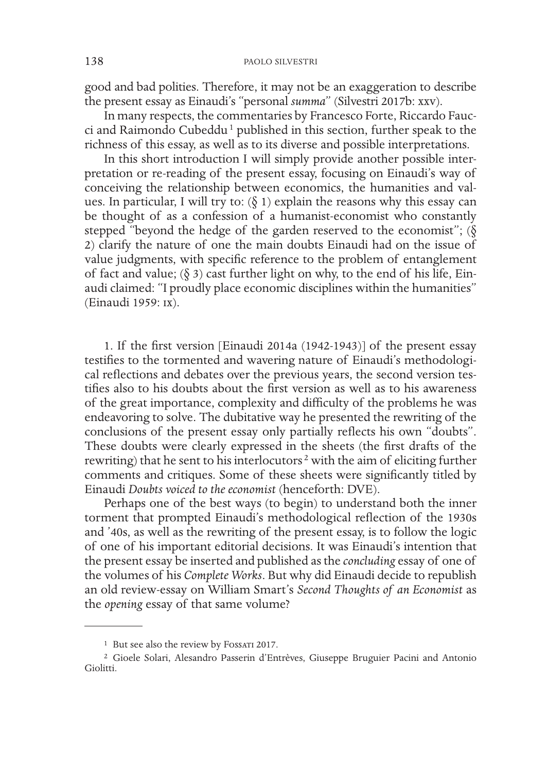good and bad polities. Therefore, it may not be an exaggeration to describe the present essay as Einaudi's "personal *summa*" (Silvestri 2017b: xxv).

In many respects, the commentaries by Francesco Forte, Riccardo Faucci and Raimondo Cubeddu<sup>1</sup> published in this section, further speak to the richness of this essay, as well as to its diverse and possible interpretations.

In this short introduction I will simply provide another possible interpretation or re-reading of the present essay, focusing on Einaudi's way of conceiving the relationship between economics, the humanities and values. In particular, I will try to:  $(\delta 1)$  explain the reasons why this essay can be thought of as a confession of a humanist-economist who constantly stepped "beyond the hedge of the garden reserved to the economist";  $(\delta)$ 2) clarify the nature of one the main doubts Einaudi had on the issue of value judgments, with specific reference to the problem of entanglement of fact and value; ( $\S$  3) cast further light on why, to the end of his life, Einaudi claimed: "I proudly place economic disciplines within the humanities" (Einaudi 1959: ix).

1. If the first version [Einaudi 2014a (1942-1943)] of the present essay testifies to the tormented and wavering nature of Einaudi's methodological reflections and debates over the previous years, the second version testifies also to his doubts about the first version as well as to his awareness of the great importance, complexity and difficulty of the problems he was endeavoring to solve. The dubitative way he presented the rewriting of the conclusions of the present essay only partially reflects his own "doubts". These doubts were clearly expressed in the sheets (the first drafts of the rewriting) that he sent to his interlocutors<sup>2</sup> with the aim of eliciting further comments and critiques. Some of these sheets were significantly titled by Einaudi *Doubts voiced to the economist* (henceforth: DVE).

Perhaps one of the best ways (to begin) to understand both the inner torment that prompted Einaudi's methodological reflection of the 1930s and '40s, as well as the rewriting of the present essay, is to follow the logic of one of his important editorial decisions. It was Einaudi's intention that the present essay be inserted and published as the *concluding* essay of one of the volumes of his *Complete Works*. But why did Einaudi decide to republish an old review-essay on William Smart's *Second Thoughts of an Economist* as the *opening* essay of that same volume?

<sup>&</sup>lt;sup>1</sup> But see also the review by Fossari 2017.

<sup>2</sup> Gioele Solari, Alesandro Passerin d'Entrèves, Giuseppe Bruguier Pacini and Antonio Giolitti.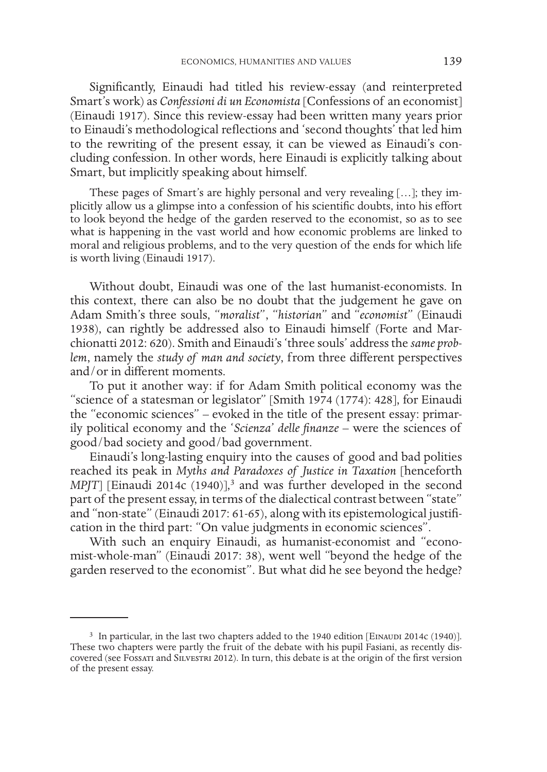Significantly, Einaudi had titled his review-essay (and reinterpreted Smart's work) as *Confessioni di un Economista* [Confessions of an economist] (Einaudi 1917). Since this review-essay had been written many years prior to Einaudi's methodological reflections and 'second thoughts' that led him to the rewriting of the present essay, it can be viewed as Einaudi's concluding confession. In other words, here Einaudi is explicitly talking about Smart, but implicitly speaking about himself.

These pages of Smart's are highly personal and very revealing […]; they implicitly allow us a glimpse into a confession of his scientific doubts, into his effort to look beyond the hedge of the garden reserved to the economist, so as to see what is happening in the vast world and how economic problems are linked to moral and religious problems, and to the very question of the ends for which life is worth living (Einaudi 1917).

Without doubt, Einaudi was one of the last humanist-economists. In this context, there can also be no doubt that the judgement he gave on Adam Smith's three souls, "*moralist*", "*historian*" and "*economist*" (Einaudi 1938), can rightly be addressed also to Einaudi himself (Forte and Marchionatti 2012: 620). Smith and Einaudi's 'three souls' address the *same problem*, namely the *study of man and society*, from three different perspectives and/or in different moments.

To put it another way: if for Adam Smith political economy was the "science of a statesman or legislator" [Smith 1974 (1774): 428], for Einaudi the "economic sciences" – evoked in the title of the present essay: primarily political economy and the '*Scienza*' *delle finanze* – were the sciences of good/bad society and good/bad government.

Einaudi's long-lasting enquiry into the causes of good and bad polities reached its peak in *Myths and Paradoxes of Justice in Taxation* [henceforth MPJT] [Einaudi 2014c (1940)],<sup>3</sup> and was further developed in the second part of the present essay, in terms of the dialectical contrast between "state" and "non-state" (Einaudi 2017: 61-65), along with its epistemological justification in the third part: "On value judgments in economic sciences".

With such an enquiry Einaudi, as humanist-economist and "economist-whole-man" (Einaudi 2017: 38), went well "beyond the hedge of the garden reserved to the economist". But what did he see beyond the hedge?

<sup>&</sup>lt;sup>3</sup> In particular, in the last two chapters added to the 1940 edition [EINAUDI 2014c (1940)]. These two chapters were partly the fruit of the debate with his pupil Fasiani, as recently discovered (see Fossati and Silvestri 2012). In turn, this debate is at the origin of the first version of the present essay.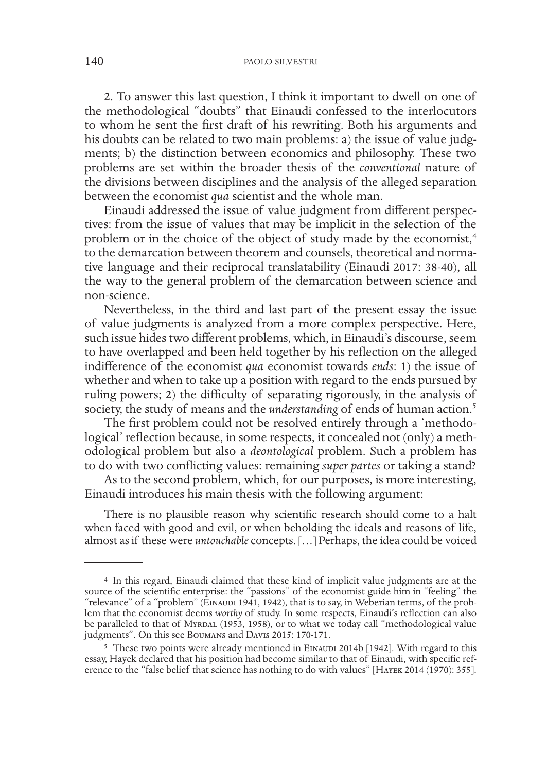2. To answer this last question, I think it important to dwell on one of the methodological "doubts" that Einaudi confessed to the interlocutors to whom he sent the first draft of his rewriting. Both his arguments and his doubts can be related to two main problems: a) the issue of value judgments; b) the distinction between economics and philosophy. These two problems are set within the broader thesis of the *conventional* nature of the divisions between disciplines and the analysis of the alleged separation between the economist *qua* scientist and the whole man.

Einaudi addressed the issue of value judgment from different perspectives: from the issue of values that may be implicit in the selection of the problem or in the choice of the object of study made by the economist,<sup>4</sup> to the demarcation between theorem and counsels, theoretical and normative language and their reciprocal translatability (Einaudi 2017: 38-40), all the way to the general problem of the demarcation between science and non-science.

Nevertheless, in the third and last part of the present essay the issue of value judgments is analyzed from a more complex perspective. Here, such issue hides two different problems, which, in Einaudi's discourse, seem to have overlapped and been held together by his reflection on the alleged indifference of the economist *qua* economist towards *ends*: 1) the issue of whether and when to take up a position with regard to the ends pursued by ruling powers; 2) the difficulty of separating rigorously, in the analysis of society, the study of means and the *understanding* of ends of human action.5

The first problem could not be resolved entirely through a 'methodological' reflection because, in some respects, it concealed not (only) a methodological problem but also a *deontological* problem. Such a problem has to do with two conflicting values: remaining *super partes* or taking a stand?

As to the second problem, which, for our purposes, is more interesting, Einaudi introduces his main thesis with the following argument:

There is no plausible reason why scientific research should come to a halt when faced with good and evil, or when beholding the ideals and reasons of life, almost as if these were *untouchable* concepts. […] Perhaps, the idea could be voiced

<sup>4</sup> In this regard, Einaudi claimed that these kind of implicit value judgments are at the source of the scientific enterprise: the "passions" of the economist guide him in "feeling" the "relevance" of a "problem" (EINAUDI 1941, 1942), that is to say, in Weberian terms, of the problem that the economist deems *worthy* of study. In some respects, Einaudi's reflection can also be paralleled to that of MYRDAL (1953, 1958), or to what we today call "methodological value judgments". On this see Boumans and Davis 2015: 170-171.

<sup>&</sup>lt;sup>5</sup> These two points were already mentioned in EINAUDI 2014b [1942]. With regard to this essay, Hayek declared that his position had become similar to that of Einaudi, with specific reference to the "false belief that science has nothing to do with values" [Hayek 2014 (1970): 355].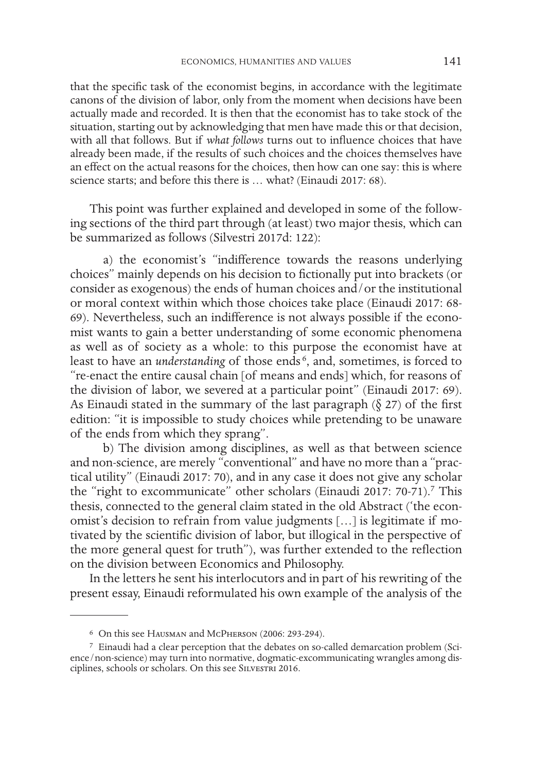that the specific task of the economist begins, in accordance with the legitimate canons of the division of labor, only from the moment when decisions have been actually made and recorded. It is then that the economist has to take stock of the situation, starting out by acknowledging that men have made this or that decision, with all that follows. But if *what follows* turns out to influence choices that have already been made, if the results of such choices and the choices themselves have an effect on the actual reasons for the choices, then how can one say: this is where science starts; and before this there is … what? (Einaudi 2017: 68).

This point was further explained and developed in some of the following sections of the third part through (at least) two major thesis, which can be summarized as follows (Silvestri 2017d: 122):

a) the economist's "indifference towards the reasons underlying choices" mainly depends on his decision to fictionally put into brackets (or consider as exogenous) the ends of human choices and/or the institutional or moral context within which those choices take place (Einaudi 2017: 68- 69). Nevertheless, such an indifference is not always possible if the economist wants to gain a better understanding of some economic phenomena as well as of society as a whole: to this purpose the economist have at least to have an *understanding* of those ends<sup>6</sup>, and, sometimes, is forced to "re-enact the entire causal chain [of means and ends] which, for reasons of the division of labor, we severed at a particular point" (Einaudi 2017: 69). As Einaudi stated in the summary of the last paragraph  $(\S 27)$  of the first edition: "it is impossible to study choices while pretending to be unaware of the ends from which they sprang".

b) The division among disciplines, as well as that between science and non-science, are merely "conventional" and have no more than a "practical utility" (Einaudi 2017: 70), and in any case it does not give any scholar the "right to excommunicate" other scholars (Einaudi 2017: 70-71).<sup>7</sup> This thesis, connected to the general claim stated in the old Abstract ('the economist's decision to refrain from value judgments […] is legitimate if motivated by the scientific division of labor, but illogical in the perspective of the more general quest for truth"), was further extended to the reflection on the division between Economics and Philosophy.

In the letters he sent his interlocutors and in part of his rewriting of the present essay, Einaudi reformulated his own example of the analysis of the

<sup>6</sup> On this see Hausman and McPherson (2006: 293-294).

<sup>7</sup> Einaudi had a clear perception that the debates on so-called demarcation problem (Science/non-science) may turn into normative, dogmatic-excommunicating wrangles among disciplines, schools or scholars. On this see SILVESTRI 2016.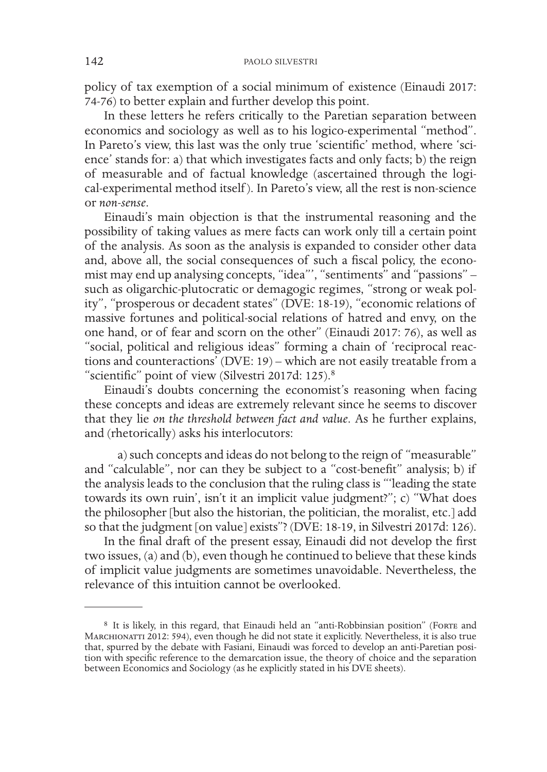policy of tax exemption of a social minimum of existence (Einaudi 2017: 74-76) to better explain and further develop this point.

In these letters he refers critically to the Paretian separation between economics and sociology as well as to his logico-experimental "method". In Pareto's view, this last was the only true 'scientific' method, where 'science' stands for: a) that which investigates facts and only facts; b) the reign of measurable and of factual knowledge (ascertained through the logical-experimental method itself ). In Pareto's view, all the rest is non-science or *non-sense*.

Einaudi's main objection is that the instrumental reasoning and the possibility of taking values as mere facts can work only till a certain point of the analysis. As soon as the analysis is expanded to consider other data and, above all, the social consequences of such a fiscal policy, the economist may end up analysing concepts, "idea"', "sentiments" and "passions" such as oligarchic-plutocratic or demagogic regimes, "strong or weak polity", "prosperous or decadent states" (DVE: 18-19), "economic relations of massive fortunes and political-social relations of hatred and envy, on the one hand, or of fear and scorn on the other" (Einaudi 2017: 76), as well as "social, political and religious ideas" forming a chain of 'reciprocal reactions and counteractions' (DVE: 19) – which are not easily treatable from a "scientific" point of view (Silvestri 2017d: 125).8

Einaudi's doubts concerning the economist's reasoning when facing these concepts and ideas are extremely relevant since he seems to discover that they lie *on the threshold between fact and value*. As he further explains, and (rhetorically) asks his interlocutors:

a) such concepts and ideas do not belong to the reign of "measurable" and "calculable", nor can they be subject to a "cost-benefit" analysis; b) if the analysis leads to the conclusion that the ruling class is "'leading the state towards its own ruin', isn't it an implicit value judgment?"; c) "What does the philosopher [but also the historian, the politician, the moralist, etc.] add so that the judgment [on value] exists"? (DVE: 18-19, in Silvestri 2017d: 126).

In the final draft of the present essay, Einaudi did not develop the first two issues, (a) and (b), even though he continued to believe that these kinds of implicit value judgments are sometimes unavoidable. Nevertheless, the relevance of this intuition cannot be overlooked.

<sup>8</sup> It is likely, in this regard, that Einaudi held an "anti-Robbinsian position" (Forte and MARCHIONATTI 2012: 594), even though he did not state it explicitly. Nevertheless, it is also true that, spurred by the debate with Fasiani, Einaudi was forced to develop an anti-Paretian position with specific reference to the demarcation issue, the theory of choice and the separation between Economics and Sociology (as he explicitly stated in his DVE sheets).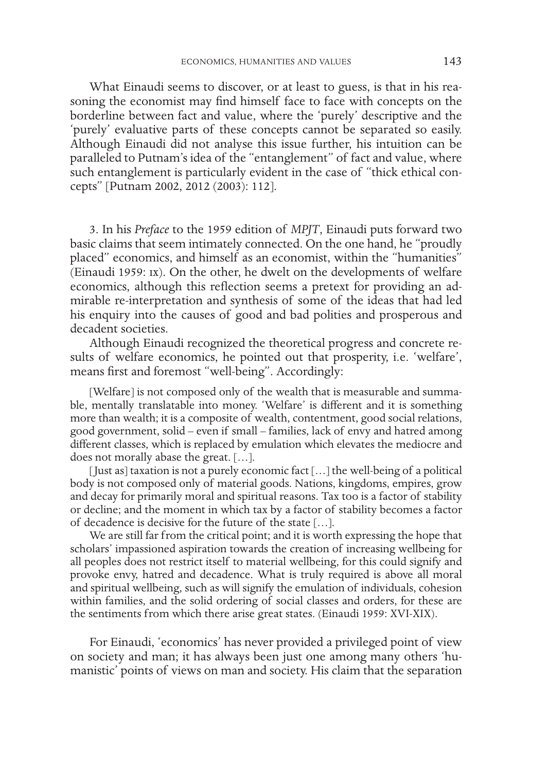What Einaudi seems to discover, or at least to guess, is that in his reasoning the economist may find himself face to face with concepts on the borderline between fact and value, where the 'purely' descriptive and the 'purely' evaluative parts of these concepts cannot be separated so easily. Although Einaudi did not analyse this issue further, his intuition can be paralleled to Putnam's idea of the "entanglement" of fact and value, where such entanglement is particularly evident in the case of "thick ethical concepts" [Putnam 2002, 2012 (2003): 112].

3. In his *Preface* to the 1959 edition of *MPJT*, Einaudi puts forward two basic claims that seem intimately connected. On the one hand, he "proudly placed" economics, and himself as an economist, within the "humanities" (Einaudi 1959: ix). On the other, he dwelt on the developments of welfare economics, although this reflection seems a pretext for providing an admirable re-interpretation and synthesis of some of the ideas that had led his enquiry into the causes of good and bad polities and prosperous and decadent societies.

Although Einaudi recognized the theoretical progress and concrete results of welfare economics, he pointed out that prosperity, i.e. 'welfare', means first and foremost "well-being". Accordingly:

[Welfare] is not composed only of the wealth that is measurable and summable, mentally translatable into money. 'Welfare' is different and it is something more than wealth; it is a composite of wealth, contentment, good social relations, good government, solid – even if small – families, lack of envy and hatred among different classes, which is replaced by emulation which elevates the mediocre and does not morally abase the great. […].

[Just as] taxation is not a purely economic fact […] the well-being of a political body is not composed only of material goods. Nations, kingdoms, empires, grow and decay for primarily moral and spiritual reasons. Tax too is a factor of stability or decline; and the moment in which tax by a factor of stability becomes a factor of decadence is decisive for the future of the state […].

We are still far from the critical point; and it is worth expressing the hope that scholars' impassioned aspiration towards the creation of increasing wellbeing for all peoples does not restrict itself to material wellbeing, for this could signify and provoke envy, hatred and decadence. What is truly required is above all moral and spiritual wellbeing, such as will signify the emulation of individuals, cohesion within families, and the solid ordering of social classes and orders, for these are the sentiments from which there arise great states. (Einaudi 1959: XVI-XIX).

For Einaudi, 'economics' has never provided a privileged point of view on society and man; it has always been just one among many others 'humanistic' points of views on man and society. His claim that the separation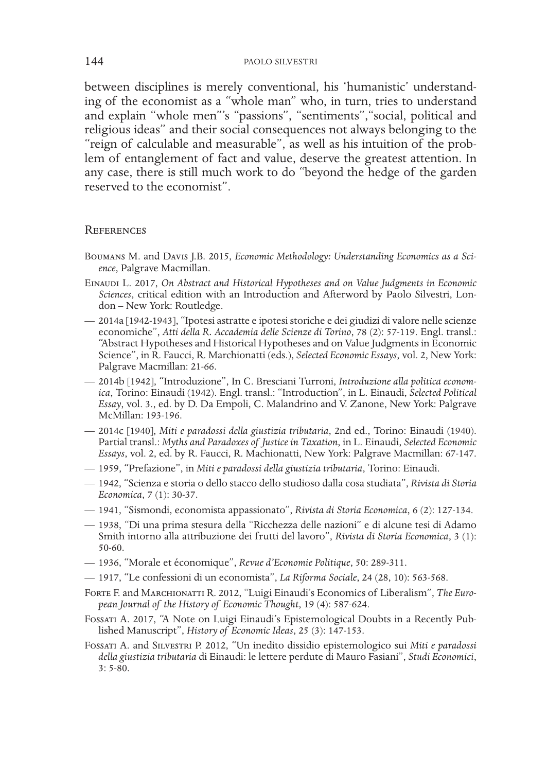between disciplines is merely conventional, his 'humanistic' understanding of the economist as a "whole man" who, in turn, tries to understand and explain "whole men"'s "passions", "sentiments","social, political and religious ideas" and their social consequences not always belonging to the "reign of calculable and measurable", as well as his intuition of the problem of entanglement of fact and value, deserve the greatest attention. In any case, there is still much work to do "beyond the hedge of the garden reserved to the economist".

## **REFERENCES**

- Boumans M. and Davis J.B. 2015, *Economic Methodology: Understanding Economics as a Science*, Palgrave Macmillan.
- Einaudi L. 2017, *On Abstract and Historical Hypotheses and on Value Judgments in Economic Sciences*, critical edition with an Introduction and Afterword by Paolo Silvestri, London – New York: Routledge.
- 2014a [1942-1943], "Ipotesi astratte e ipotesi storiche e dei giudizi di valore nelle scienze economiche", *Atti della R. Accademia delle Scienze di Torino*, 78 (2): 57-119. Engl. transl.: "Abstract Hypotheses and Historical Hypotheses and on Value Judgments in Economic Science", in R. Faucci, R. Marchionatti (eds.), *Selected Economic Essays*, vol. 2, New York: Palgrave Macmillan: 21-66.
- 2014b [1942], "Introduzione", In C. Bresciani Turroni, *Introduzione alla politica economica*, Torino: Einaudi (1942). Engl. transl.: "Introduction", in L. Einaudi, *Selected Political Essay*, vol. 3., ed. by D. Da Empoli, C. Malandrino and V. Zanone, New York: Palgrave McMillan: 193-196.
- 2014c [1940], *Miti e paradossi della giustizia tributaria*, 2nd ed., Torino: Einaudi (1940). Partial transl.: *Myths and Paradoxes of Justice in Taxation*, in L. Einaudi, *Selected Economic Essays*, vol. 2, ed. by R. Faucci, R. Machionatti, New York: Palgrave Macmillan: 67-147.
- 1959, "Prefazione", in *Miti e paradossi della giustizia tributaria*, Torino: Einaudi.
- 1942, "Scienza e storia o dello stacco dello studioso dalla cosa studiata", *Rivista di Storia Economica*, 7 (1): 30-37.
- 1941, "Sismondi, economista appassionato", *Rivista di Storia Economica*, 6 (2): 127-134.
- 1938, "Di una prima stesura della "Ricchezza delle nazioni" e di alcune tesi di Adamo Smith intorno alla attribuzione dei frutti del lavoro", *Rivista di Storia Economica*, 3 (1): 50-60.
- 1936, "Morale et économique", *Revue d'Economie Politique*, 50: 289-311.
- 1917, "Le confessioni di un economista", *La Riforma Sociale*, 24 (28, 10): 563-568.
- Forte F. and Marchionatti R. 2012, "Luigi Einaudi's Economics of Liberalism", *The European Journal of the History of Economic Thought*, 19 (4): 587-624.
- Fossati A. 2017, "A Note on Luigi Einaudi's Epistemological Doubts in a Recently Published Manuscript", *History of Economic Ideas*, 25 (3): 147-153.
- Fossati A. and Silvestri P. 2012, "Un inedito dissidio epistemologico sui *Miti e paradossi della giustizia tributaria* di Einaudi: le lettere perdute di Mauro Fasiani", *Studi Economici*, 3: 5-80.